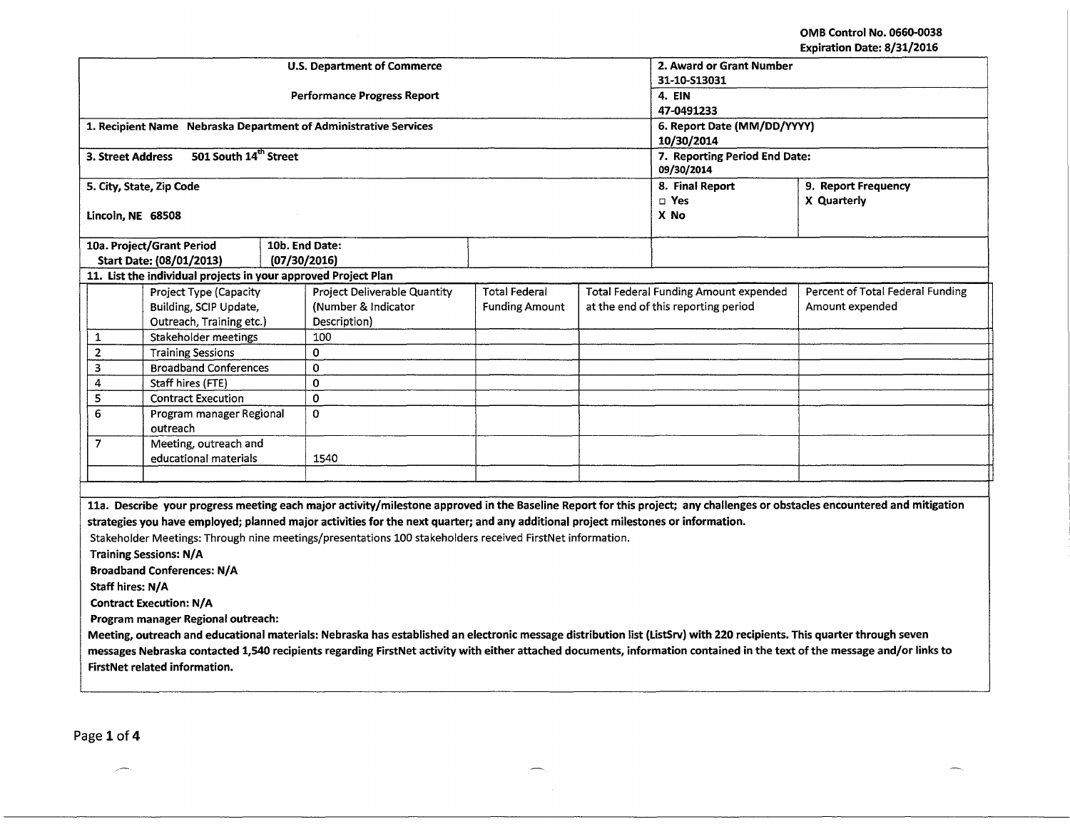| <b>Performance Progress Report</b><br>4. EIN<br>47-0491233<br>1. Recipient Name Nebraska Department of Administrative Services<br>6. Report Date (MM/DD/YYYY)<br>10/30/2014<br>501 South 14th Street<br>3. Street Address<br>7. Reporting Period End Date:<br>09/30/2014<br>9. Report Frequency<br>5. City, State, Zip Code<br>8. Final Report<br>$\square$ Yes<br>X Quarterly<br>X No<br>Lincoln, NE 68508<br>10a. Project/Grant Period<br>10b. End Date:<br>(07/30/2016)<br>Start Date: (08/01/2013)<br>11. List the individual projects in your approved Project Plan<br>Percent of Total Federal Funding<br><b>Project Deliverable Quantity</b><br><b>Total Federal</b><br><b>Total Federal Funding Amount expended</b><br>Project Type (Capacity<br>Building, SCIP Update,<br>(Number & Indicator<br>at the end of this reporting period<br><b>Funding Amount</b><br>Amount expended<br>Outreach, Training etc.)<br>Description)<br>Stakeholder meetings<br>100<br>$\mathbf{1}$<br>$\mathbf 2$<br>$\mathbf 0$<br><b>Training Sessions</b><br>3<br><b>Broadband Conferences</b><br>0 |  |  |  |  |  |  |  |
|------------------------------------------------------------------------------------------------------------------------------------------------------------------------------------------------------------------------------------------------------------------------------------------------------------------------------------------------------------------------------------------------------------------------------------------------------------------------------------------------------------------------------------------------------------------------------------------------------------------------------------------------------------------------------------------------------------------------------------------------------------------------------------------------------------------------------------------------------------------------------------------------------------------------------------------------------------------------------------------------------------------------------------------------------------------------------------------|--|--|--|--|--|--|--|
|                                                                                                                                                                                                                                                                                                                                                                                                                                                                                                                                                                                                                                                                                                                                                                                                                                                                                                                                                                                                                                                                                          |  |  |  |  |  |  |  |
|                                                                                                                                                                                                                                                                                                                                                                                                                                                                                                                                                                                                                                                                                                                                                                                                                                                                                                                                                                                                                                                                                          |  |  |  |  |  |  |  |
|                                                                                                                                                                                                                                                                                                                                                                                                                                                                                                                                                                                                                                                                                                                                                                                                                                                                                                                                                                                                                                                                                          |  |  |  |  |  |  |  |
|                                                                                                                                                                                                                                                                                                                                                                                                                                                                                                                                                                                                                                                                                                                                                                                                                                                                                                                                                                                                                                                                                          |  |  |  |  |  |  |  |
|                                                                                                                                                                                                                                                                                                                                                                                                                                                                                                                                                                                                                                                                                                                                                                                                                                                                                                                                                                                                                                                                                          |  |  |  |  |  |  |  |
|                                                                                                                                                                                                                                                                                                                                                                                                                                                                                                                                                                                                                                                                                                                                                                                                                                                                                                                                                                                                                                                                                          |  |  |  |  |  |  |  |
|                                                                                                                                                                                                                                                                                                                                                                                                                                                                                                                                                                                                                                                                                                                                                                                                                                                                                                                                                                                                                                                                                          |  |  |  |  |  |  |  |
|                                                                                                                                                                                                                                                                                                                                                                                                                                                                                                                                                                                                                                                                                                                                                                                                                                                                                                                                                                                                                                                                                          |  |  |  |  |  |  |  |
|                                                                                                                                                                                                                                                                                                                                                                                                                                                                                                                                                                                                                                                                                                                                                                                                                                                                                                                                                                                                                                                                                          |  |  |  |  |  |  |  |
|                                                                                                                                                                                                                                                                                                                                                                                                                                                                                                                                                                                                                                                                                                                                                                                                                                                                                                                                                                                                                                                                                          |  |  |  |  |  |  |  |
|                                                                                                                                                                                                                                                                                                                                                                                                                                                                                                                                                                                                                                                                                                                                                                                                                                                                                                                                                                                                                                                                                          |  |  |  |  |  |  |  |
|                                                                                                                                                                                                                                                                                                                                                                                                                                                                                                                                                                                                                                                                                                                                                                                                                                                                                                                                                                                                                                                                                          |  |  |  |  |  |  |  |
|                                                                                                                                                                                                                                                                                                                                                                                                                                                                                                                                                                                                                                                                                                                                                                                                                                                                                                                                                                                                                                                                                          |  |  |  |  |  |  |  |
|                                                                                                                                                                                                                                                                                                                                                                                                                                                                                                                                                                                                                                                                                                                                                                                                                                                                                                                                                                                                                                                                                          |  |  |  |  |  |  |  |
|                                                                                                                                                                                                                                                                                                                                                                                                                                                                                                                                                                                                                                                                                                                                                                                                                                                                                                                                                                                                                                                                                          |  |  |  |  |  |  |  |
|                                                                                                                                                                                                                                                                                                                                                                                                                                                                                                                                                                                                                                                                                                                                                                                                                                                                                                                                                                                                                                                                                          |  |  |  |  |  |  |  |
|                                                                                                                                                                                                                                                                                                                                                                                                                                                                                                                                                                                                                                                                                                                                                                                                                                                                                                                                                                                                                                                                                          |  |  |  |  |  |  |  |
| $\mathbf 0$<br>4<br>Staff hires (FTE)                                                                                                                                                                                                                                                                                                                                                                                                                                                                                                                                                                                                                                                                                                                                                                                                                                                                                                                                                                                                                                                    |  |  |  |  |  |  |  |
| 5<br>0<br><b>Contract Execution</b>                                                                                                                                                                                                                                                                                                                                                                                                                                                                                                                                                                                                                                                                                                                                                                                                                                                                                                                                                                                                                                                      |  |  |  |  |  |  |  |
| 6<br>$\Omega$<br>Program manager Regional                                                                                                                                                                                                                                                                                                                                                                                                                                                                                                                                                                                                                                                                                                                                                                                                                                                                                                                                                                                                                                                |  |  |  |  |  |  |  |
| outreach                                                                                                                                                                                                                                                                                                                                                                                                                                                                                                                                                                                                                                                                                                                                                                                                                                                                                                                                                                                                                                                                                 |  |  |  |  |  |  |  |
| 7<br>Meeting, outreach and                                                                                                                                                                                                                                                                                                                                                                                                                                                                                                                                                                                                                                                                                                                                                                                                                                                                                                                                                                                                                                                               |  |  |  |  |  |  |  |
| educational materials<br>1540                                                                                                                                                                                                                                                                                                                                                                                                                                                                                                                                                                                                                                                                                                                                                                                                                                                                                                                                                                                                                                                            |  |  |  |  |  |  |  |
|                                                                                                                                                                                                                                                                                                                                                                                                                                                                                                                                                                                                                                                                                                                                                                                                                                                                                                                                                                                                                                                                                          |  |  |  |  |  |  |  |
|                                                                                                                                                                                                                                                                                                                                                                                                                                                                                                                                                                                                                                                                                                                                                                                                                                                                                                                                                                                                                                                                                          |  |  |  |  |  |  |  |
| 11a. Describe your progress meeting each major activity/milestone approved in the Baseline Report for this project; any challenges or obstacles encountered and mitigation                                                                                                                                                                                                                                                                                                                                                                                                                                                                                                                                                                                                                                                                                                                                                                                                                                                                                                               |  |  |  |  |  |  |  |
| strategies you have employed; planned major activities for the next quarter; and any additional project milestones or information.                                                                                                                                                                                                                                                                                                                                                                                                                                                                                                                                                                                                                                                                                                                                                                                                                                                                                                                                                       |  |  |  |  |  |  |  |
| Stakeholder Meetings: Through nine meetings/presentations 100 stakeholders received FirstNet information.                                                                                                                                                                                                                                                                                                                                                                                                                                                                                                                                                                                                                                                                                                                                                                                                                                                                                                                                                                                |  |  |  |  |  |  |  |
| <b>Training Sessions: N/A</b>                                                                                                                                                                                                                                                                                                                                                                                                                                                                                                                                                                                                                                                                                                                                                                                                                                                                                                                                                                                                                                                            |  |  |  |  |  |  |  |
| <b>Broadband Conferences: N/A</b>                                                                                                                                                                                                                                                                                                                                                                                                                                                                                                                                                                                                                                                                                                                                                                                                                                                                                                                                                                                                                                                        |  |  |  |  |  |  |  |
| Staff hires: N/A                                                                                                                                                                                                                                                                                                                                                                                                                                                                                                                                                                                                                                                                                                                                                                                                                                                                                                                                                                                                                                                                         |  |  |  |  |  |  |  |
| <b>Contract Execution: N/A</b>                                                                                                                                                                                                                                                                                                                                                                                                                                                                                                                                                                                                                                                                                                                                                                                                                                                                                                                                                                                                                                                           |  |  |  |  |  |  |  |
| Program manager Regional outreach:                                                                                                                                                                                                                                                                                                                                                                                                                                                                                                                                                                                                                                                                                                                                                                                                                                                                                                                                                                                                                                                       |  |  |  |  |  |  |  |
| Meeting, outreach and educational materials: Nebraska has established an electronic message distribution list (ListSrv) with 220 recipients. This quarter through seven                                                                                                                                                                                                                                                                                                                                                                                                                                                                                                                                                                                                                                                                                                                                                                                                                                                                                                                  |  |  |  |  |  |  |  |
| messages Nebraska contacted 1,540 recipients regarding FirstNet activity with either attached documents, information contained in the text of the message and/or links to                                                                                                                                                                                                                                                                                                                                                                                                                                                                                                                                                                                                                                                                                                                                                                                                                                                                                                                |  |  |  |  |  |  |  |
| <b>FirstNet related information.</b>                                                                                                                                                                                                                                                                                                                                                                                                                                                                                                                                                                                                                                                                                                                                                                                                                                                                                                                                                                                                                                                     |  |  |  |  |  |  |  |

 $\overline{\phantom{0}}$  $\sim$ 

<u> 1980 - Jan Barnett, mars ann an t-Amhainn an t-Amhainn an t-Amhainn an t-Amhainn an t-Amhainn an t-Amhainn an </u>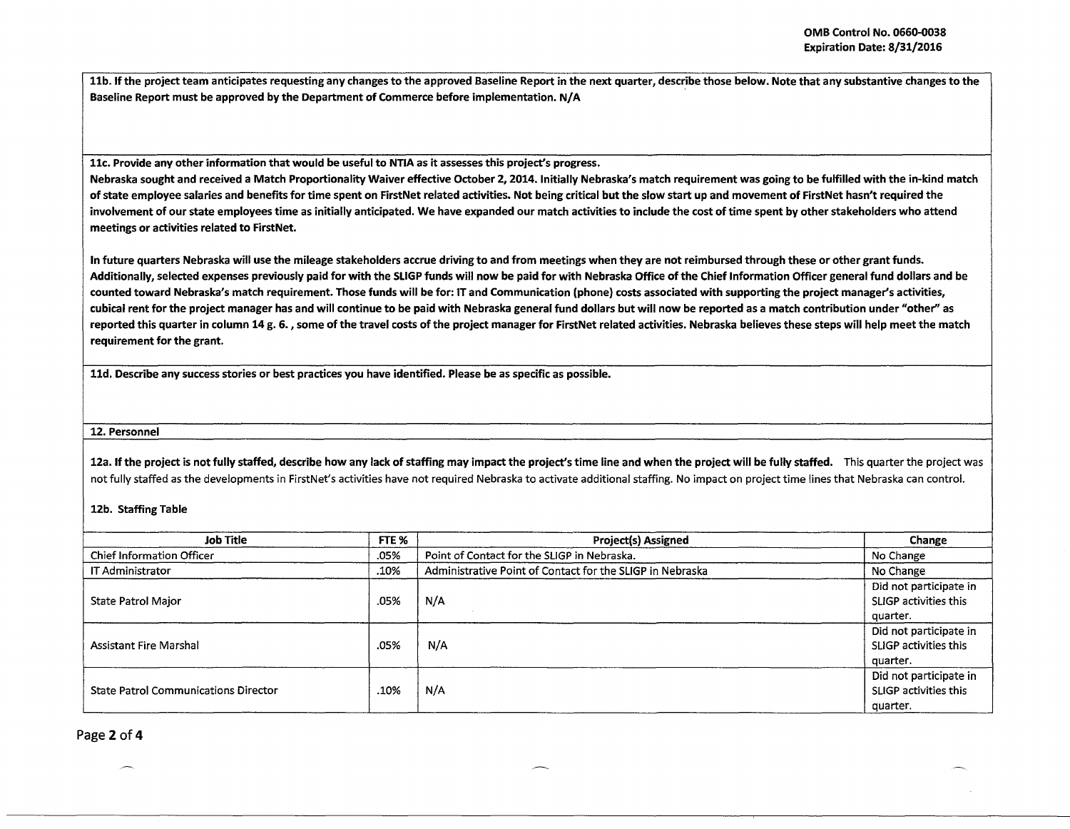i i

11b. If the project team anticipates requesting any changes to the approved Baseline Report in the next quarter, describe those below. Note that any substantive changes to the Baseline Report must be approved by the Department of Commerce before implementation. N/ A

llc. Provide any other information that would be useful to NTIA as it assesses this project's progress.

Nebraska sought and received a Match Proportionality Waiver effective October 2, 2014. Initially Nebraska's match requirement was going to be fulfilled with the in-kind match of state employee salaries and benefits for time spent on FirstNet related activities. Not being critical but the slow start up and movement of FirstNet hasn't required the involvement of our state employees time as initially anticipated. We have expanded our match activities to include the cost of time spent by other stakeholders who attend meetings or activities related to FirstNet.

In future quarters Nebraska will use the mileage stakeholders accrue driving to and from meetings when they are not reimbursed through these or other grant funds. Additionally, selected expenses previously paid for with the SLIGP funds will now be paid for with Nebraska Office of the Chief Information Officer general fund dollars and be counted toward Nebraska's match requirement. Those funds will be for: IT and Communication (phone) costs associated with supporting the project manager's activities, cubical rent for the project manager has and will continue to be paid with Nebraska general fund dollars but will now be reported as a match contribution under "other'' as reported this quarter in column 14 g. 6. *,* some of the travel costs of the project manager for FirstNet related activities. Nebraska believes these steps will help meet the match requirement for the grant.

lld. Describe any success stories or best practices you have identified. Please be as specific as possible.

12. Personnel

12a. If the project is not fully staffed, describe how any lack of staffing may impact the project's time line and when the project will be fully staffed. This quarter the project was not fully staffed as the developments in FirstNet's activities have not required Nebraska to activate additional staffing. No impact on project time lines that Nebraska can control.

12b. Staffing Table

| Job Title                                   | FTE % | <b>Project(s) Assigned</b>                                | Change                                                      |
|---------------------------------------------|-------|-----------------------------------------------------------|-------------------------------------------------------------|
| <b>Chief Information Officer</b>            | .05%  | Point of Contact for the SLIGP in Nebraska.               | No Change                                                   |
| IT Administrator                            | .10%  | Administrative Point of Contact for the SLIGP in Nebraska | No Change                                                   |
| State Patrol Major                          | .05%  | N/A                                                       | Did not participate in<br>SLIGP activities this             |
|                                             |       |                                                           | quarter.                                                    |
| Assistant Fire Marshal                      | .05%  | N/A                                                       | Did not participate in<br>SLIGP activities this<br>quarter. |
| <b>State Patrol Communications Director</b> | .10%  | N/A                                                       | Did not participate in<br>SLIGP activities this<br>quarter. |

Page 2 of 4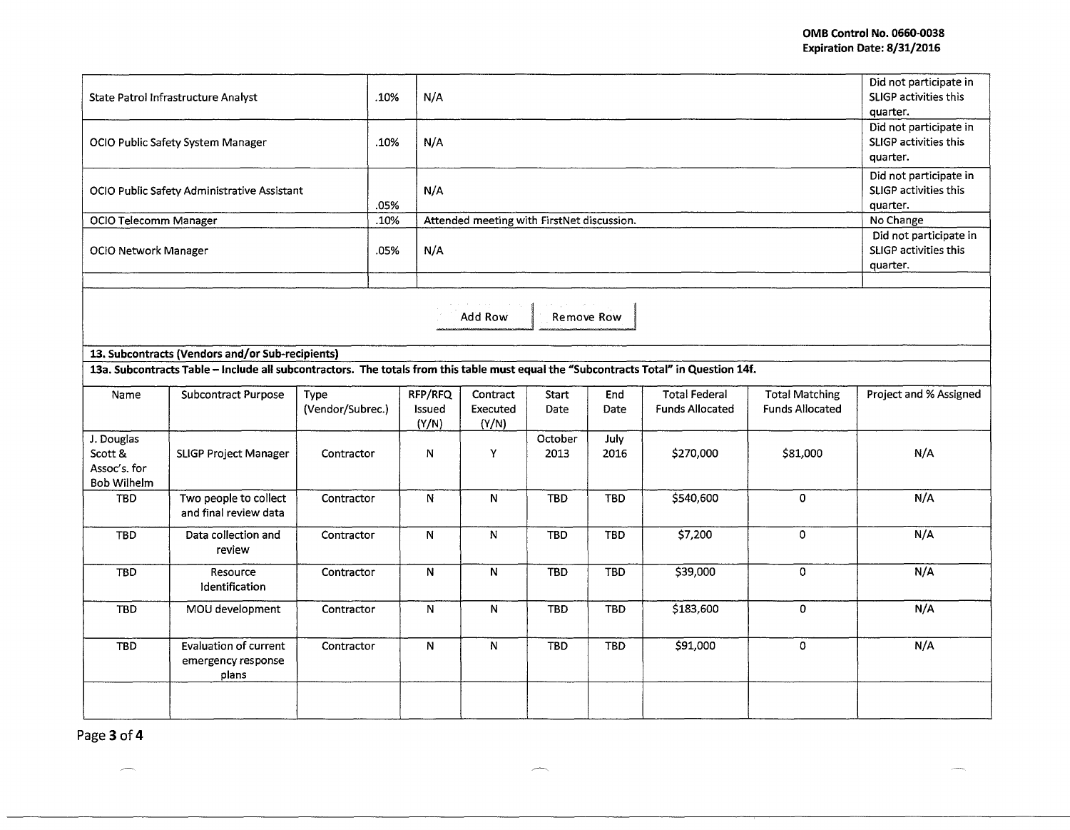| State Patrol Infrastructure Analyst<br>OCIO Public Safety System Manager                                                              |                                                      | .10%<br>.10%             | N/A<br>N/A |                                            | Did not participate in<br>SLIGP activities this<br>quarter.<br>Did not participate in<br><b>SLIGP activities this</b> |                 |                    |                                                |                                                 |                        |
|---------------------------------------------------------------------------------------------------------------------------------------|------------------------------------------------------|--------------------------|------------|--------------------------------------------|-----------------------------------------------------------------------------------------------------------------------|-----------------|--------------------|------------------------------------------------|-------------------------------------------------|------------------------|
|                                                                                                                                       |                                                      |                          |            |                                            |                                                                                                                       |                 |                    |                                                | quarter.<br>Did not participate in              |                        |
| OCIO Public Safety Administrative Assistant                                                                                           |                                                      | .05%                     | N/A        |                                            | SLIGP activities this<br>quarter.                                                                                     |                 |                    |                                                |                                                 |                        |
| OCIO Telecomm Manager                                                                                                                 |                                                      | .10%                     |            | Attended meeting with FirstNet discussion. | No Change                                                                                                             |                 |                    |                                                |                                                 |                        |
|                                                                                                                                       |                                                      |                          |            |                                            |                                                                                                                       |                 |                    |                                                |                                                 | Did not participate in |
| <b>OCIO Network Manager</b>                                                                                                           |                                                      | .05%                     | N/A        |                                            | SLIGP activities this<br>quarter.                                                                                     |                 |                    |                                                |                                                 |                        |
| Add Row<br>Remove Row<br>13. Subcontracts (Vendors and/or Sub-recipients)                                                             |                                                      |                          |            |                                            |                                                                                                                       |                 |                    |                                                |                                                 |                        |
| 13a. Subcontracts Table - Include all subcontractors. The totals from this table must equal the "Subcontracts Total" in Question 14f. |                                                      |                          |            |                                            |                                                                                                                       |                 |                    |                                                |                                                 |                        |
| Name                                                                                                                                  | <b>Subcontract Purpose</b>                           | Type<br>(Vendor/Subrec.) |            | RFP/RFQ<br><b>Issued</b><br>(Y/N)          | Contract<br>Executed<br>(Y/N)                                                                                         | Start<br>Date   | End<br><b>Date</b> | <b>Total Federal</b><br><b>Funds Allocated</b> | <b>Total Matching</b><br><b>Funds Allocated</b> | Project and % Assigned |
| J. Douglas<br>Scott &<br>Assoc's. for<br><b>Bob Wilhelm</b>                                                                           | <b>SLIGP Project Manager</b>                         | Contractor               |            | N                                          | Y                                                                                                                     | October<br>2013 | July<br>2016       | \$270,000                                      | \$81,000                                        | N/A                    |
| <b>TBD</b>                                                                                                                            | Two people to collect<br>and final review data       | Contractor               |            | N                                          | $\mathsf{N}$                                                                                                          | <b>TBD</b>      | <b>TBD</b>         | \$540,600                                      | 0                                               | N/A                    |
| <b>TBD</b>                                                                                                                            | Data collection and<br>review                        | Contractor               |            | ${\bf N}$                                  | N                                                                                                                     | <b>TBD</b>      | <b>TBD</b>         | \$7,200                                        | 0                                               | N/A                    |
| TBD                                                                                                                                   | Resource<br>Identification                           | Contractor               |            | $\mathsf{N}$                               | $\overline{N}$                                                                                                        | <b>TBD</b>      | <b>TBD</b>         | \$39,000                                       | 0                                               | N/A                    |
| <b>TBD</b>                                                                                                                            | MOU development                                      | Contractor               |            | N                                          | N                                                                                                                     | <b>TBD</b>      | <b>TBD</b>         | \$183,600                                      | 0                                               | N/A                    |
| <b>TBD</b>                                                                                                                            | Evaluation of current<br>emergency response<br>plans | Contractor               |            | ${\sf N}$                                  | ${\bf N}$                                                                                                             | <b>TBD</b>      | <b>TBD</b>         | \$91,000                                       | 0                                               | N/A                    |
|                                                                                                                                       |                                                      |                          |            |                                            |                                                                                                                       |                 |                    |                                                |                                                 |                        |

灬

Page **3 of4** 

 $\overline{\phantom{m}}$